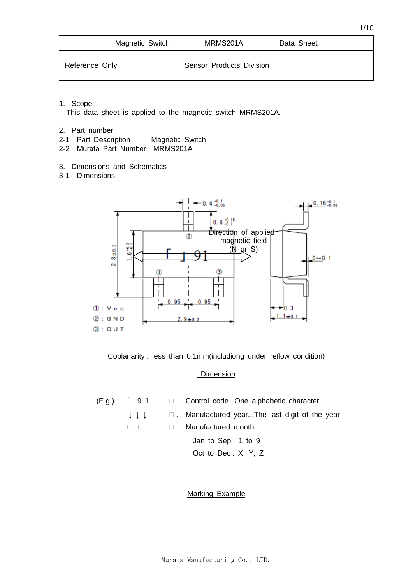|                | Magnetic Switch | MRMS201A                 | Data Sheet |
|----------------|-----------------|--------------------------|------------|
| Reference Only |                 | Sensor Products Division |            |

1. Scope

This data sheet is applied to the magnetic switch MRMS201A.

- 2. Part number
- 2-1 Part Description Magnetic Switch
- 2-2 Murata Part Number MRMS201A
- 3. Dimensions and Schematics
- 3-1 Dimensions





#### **Dimension**

|  | $(E.g.)$ [ 9 1 $\Box$ Control codeOne alphabetic character                                     |
|--|------------------------------------------------------------------------------------------------|
|  | $\downarrow \downarrow \downarrow$ $\qquad \Box$ . Manufactured yearThe last digit of the year |
|  | □ . Manufactured month                                                                         |
|  | Jan to Sep: 1 to 9                                                                             |

Oct to Dec : X, Y, Z

#### Marking Example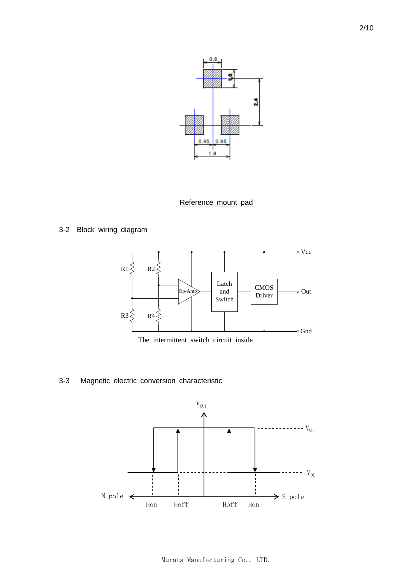

### Reference mount pad

3-2 Block wiring diagram



The intermittent switch circuit inside

3-3 Magnetic electric conversion characteristic

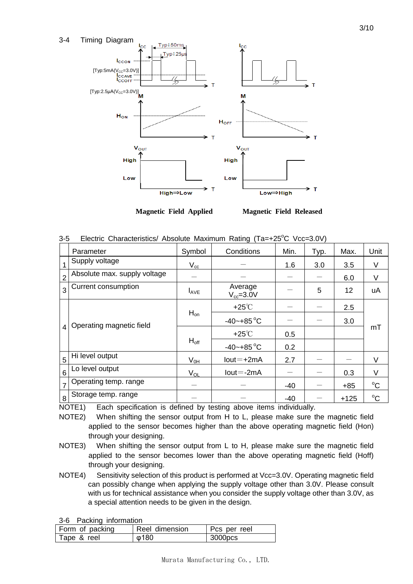

**Magnetic Field Applied Magnetic Field Released**

|  |  |  |  |  |  | 3-5 Electric Characteristics/ Absolute Maximum Rating (Ta=+25°C Vcc=3.0V) |  |
|--|--|--|--|--|--|---------------------------------------------------------------------------|--|
|--|--|--|--|--|--|---------------------------------------------------------------------------|--|

|                | Parameter                    | Symbol           | Conditions                 | Min.  | Typ. | Max.   | Unit        |
|----------------|------------------------------|------------------|----------------------------|-------|------|--------|-------------|
|                | Supply voltage               | $V_{cc}$         |                            | 1.6   | 3.0  | 3.5    | V           |
| $\overline{2}$ | Absolute max. supply voltage |                  |                            |       |      | 6.0    | $\vee$      |
| 3              | Current consumption          | $I_{\text{AVE}}$ | Average<br>$V_{cc} = 3.0V$ |       | 5    | 12     | uA          |
|                |                              | $H_{on}$         | $+25^{\circ}$ C            |       |      | 2.5    | mT          |
|                | Operating magnetic field     |                  | $-40 - +85$ °C             |       |      | 3.0    |             |
| 4              |                              | $H_{off}$        | $+25^{\circ}$ C            | 0.5   |      |        |             |
|                |                              |                  | $-40 - +85$ °C             | 0.2   |      |        |             |
| 5              | Hi level output              | $V_{OH}$         | $Iout = +2mA$              | 2.7   |      |        | $\vee$      |
| 6              | Lo level output              | $V_{OL}$         | $Iout = -2mA$              |       |      | 0.3    | V           |
| $\overline{7}$ | Operating temp. range        |                  |                            | $-40$ |      | $+85$  | $^{\circ}C$ |
| 8              | Storage temp. range          |                  |                            | $-40$ |      | $+125$ | $^{\circ}C$ |

NOTE1) Each specification is defined by testing above items individually.

NOTE2) When shifting the sensor output from H to L, please make sure the magnetic field applied to the sensor becomes higher than the above operating magnetic field (Hon) through your designing.

- NOTE3) When shifting the sensor output from L to H, please make sure the magnetic field applied to the sensor becomes lower than the above operating magnetic field (Hoff) through your designing.
- NOTE4) Sensitivity selection of this product is performed at Vcc=3.0V. Operating magnetic field can possibly change when applying the supply voltage other than 3.0V. Please consult with us for technical assistance when you consider the supply voltage other than 3.0V, as a special attention needs to be given in the design.

3-6 Packing information

| <b>U</b> U CONTIG THUITING |                |              |  |  |  |  |
|----------------------------|----------------|--------------|--|--|--|--|
| Form of packing            | Reel dimension | Pcs per reel |  |  |  |  |
| Tape & reel                | Φ180           | 3000pcs      |  |  |  |  |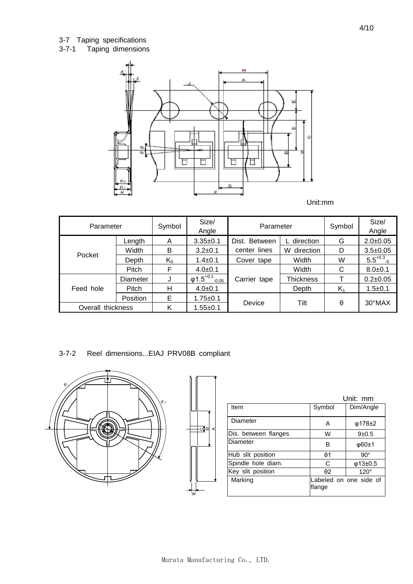## 3-7 Taping specifications

### 3-7-1 Taping dimensions



| Parameter         |          | Symbol | Size/<br>Angle                        | Parameter     |                  | Symbol | Size/<br>Angle   |
|-------------------|----------|--------|---------------------------------------|---------------|------------------|--------|------------------|
|                   | Length   | A      | $3.35+0.1$                            | Dist. Between | L direction      | G      | $2.0 \pm 0.05$   |
|                   | Width    | B      | $3.2 \pm 0.1$                         | center lines  | direction<br>W   | D      | $3.5 + 0.05$     |
| Pocket            | Depth    | $K_0$  | $1.4 \pm 0.1$                         | Cover tape    | Width            | W      | $5.5^{+0.3}$     |
|                   | Pitch    | F      | $4.0 \pm 0.1$                         |               | Width            | С      | $8.0 + 0.1$      |
|                   | Diameter | J      | $\phi$ 1.5 <sup>+0.1</sup><br>$-0.05$ | Carrier tape  | <b>Thickness</b> |        | $0.2 \pm 0.05$   |
| Feed hole         | Pitch    | н      | $4.0 \pm 0.1$                         |               | Depth            | K,     | $1.5 + 0.1$      |
|                   | Position | Е      | $1.75 + 0.1$                          |               |                  |        |                  |
| Overall thickness |          | Κ      | $1.55 + 0.1$                          | Device        | Tilt             | θ      | $30^{\circ}$ MAX |

## 3-7-2 Reel dimensions...EIAJ PRV08B compliant



|                      |                | Unit: mm               |
|----------------------|----------------|------------------------|
| <b>Item</b>          | Symbol         | Dim/Angle              |
| Diameter             | Α              | $\phi$ 178±2           |
| Dis. between flanges | W              | $9+0.5$                |
| Diameter             | в              | $\phi$ 60±1            |
| Hub slit position    | H <sub>0</sub> | $90^{\circ}$           |
| Spindle hole diam.   | C              | $\phi$ 13±0.5          |
| Key slit position    | $\theta$ 2     | $120^\circ$            |
| Marking              | flange         | Labeled on one side of |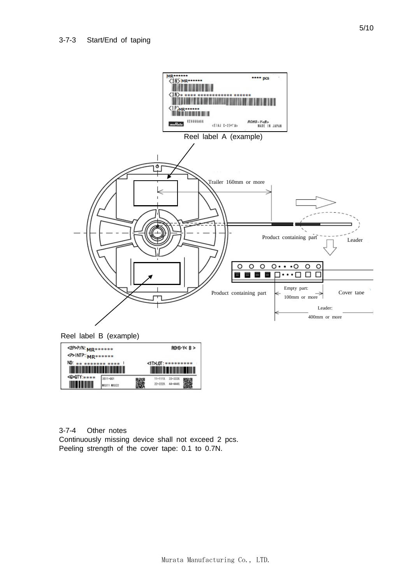

Reel label B (example)



3-7-4 Other notes Continuously missing device shall not exceed 2 pcs. Peeling strength of the cover tape: 0.1 to 0.7N.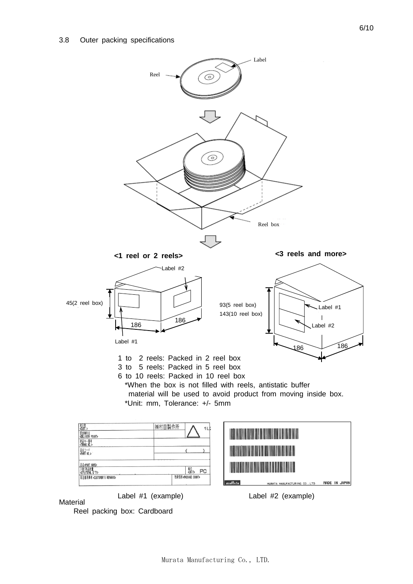

**Material** 

Reel packing box: Cardboard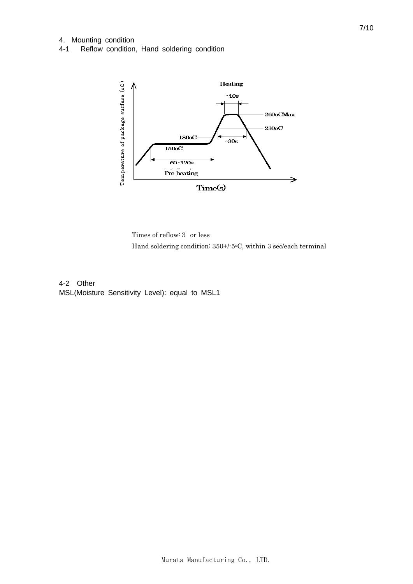#### 4. Mounting condition

4-1 Reflow condition, Hand soldering condition



Times of reflow:3 or less Hand soldering condition: 350+/-5oC, within 3 sec/each terminal

4-2 Other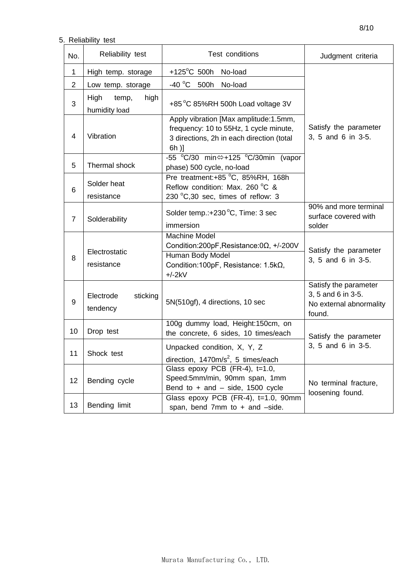# 5. Reliability test

| No.            | Reliability test                       | Test conditions                                                                                                                                   |                                                                                  |
|----------------|----------------------------------------|---------------------------------------------------------------------------------------------------------------------------------------------------|----------------------------------------------------------------------------------|
| $\mathbf 1$    | High temp. storage                     | $+125^{\circ}$ C 500h<br>No-load                                                                                                                  |                                                                                  |
| $\overline{2}$ | Low temp. storage                      | $-40 °C$ 500h<br>No-load                                                                                                                          |                                                                                  |
| 3              | High<br>high<br>temp,<br>humidity load | +85 °C 85%RH 500h Load voltage 3V                                                                                                                 |                                                                                  |
| 4              | Vibration                              | Apply vibration [Max amplitude:1.5mm,<br>frequency: 10 to 55Hz, 1 cycle minute,<br>3 directions, 2h in each direction (total<br>6h)]              | Satisfy the parameter<br>3, 5 and 6 in 3-5.                                      |
| 5              | Thermal shock                          | -55 °C/30 min⇔+125 °C/30min (vapor<br>phase) 500 cycle, no-load                                                                                   |                                                                                  |
| 6              | Solder heat<br>resistance              | Pre treatment:+85 °C, 85%RH, 168h<br>Reflow condition: Max. 260 °C &<br>230 °C,30 sec, times of reflow: 3                                         |                                                                                  |
| $\overline{7}$ | Solderability                          | Solder temp.:+230 °C, Time: 3 sec<br>immersion                                                                                                    | 90% and more terminal<br>surface covered with<br>solder                          |
| 8              | Electrostatic<br>resistance            | <b>Machine Model</b><br>Condition: 200pF, Resistance: $0\Omega$ , +/-200V<br>Human Body Model<br>Condition: 100pF, Resistance: 1.5kΩ,<br>$+/-2kV$ | Satisfy the parameter<br>3, 5 and 6 in 3-5.                                      |
| 9              | Electrode<br>sticking<br>tendency      | 5N(510gf), 4 directions, 10 sec                                                                                                                   | Satisfy the parameter<br>3, 5 and 6 in 3-5.<br>No external abnormality<br>found. |
| 10             | Drop test                              | 100g dummy load, Height:150cm, on<br>the concrete, 6 sides, 10 times/each                                                                         | Satisfy the parameter                                                            |
| 11             | Shock test                             | Unpacked condition, X, Y, Z<br>direction, $1470m/s^2$ , 5 times/each                                                                              | 3, 5 and 6 in 3-5.                                                               |
| 12             | Bending cycle                          | Glass epoxy PCB (FR-4), t=1.0,<br>Speed:5mm/min, 90mm span, 1mm<br>Bend to $+$ and $-$ side, 1500 cycle                                           | No terminal fracture,<br>loosening found.                                        |
| 13             | Bending limit                          | Glass epoxy PCB (FR-4), t=1.0, 90mm<br>span, bend 7mm to + and -side.                                                                             |                                                                                  |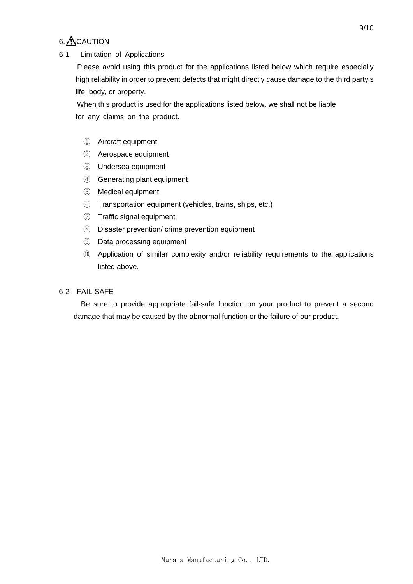# $6.$   $\triangle$  CAUTION

### 6-1 Limitation of Applications

 Please avoid using this product for the applications listed below which require especially high reliability in order to prevent defects that might directly cause damage to the third party's life, body, or property.

 When this product is used for the applications listed below, we shall not be liable for any claims on the product.

- ① Aircraft equipment
- ② Aerospace equipment
- ③ Undersea equipment
- ④ Generating plant equipment
- ⑤ Medical equipment
- ⑥ Transportation equipment (vehicles, trains, ships, etc.)
- ⑦ Traffic signal equipment
- ⑧ Disaster prevention/ crime prevention equipment
- ⑨ Data processing equipment
- ⑩ Application of similar complexity and/or reliability requirements to the applications listed above.

### 6-2 FAIL-SAFE

 Be sure to provide appropriate fail-safe function on your product to prevent a second damage that may be caused by the abnormal function or the failure of our product.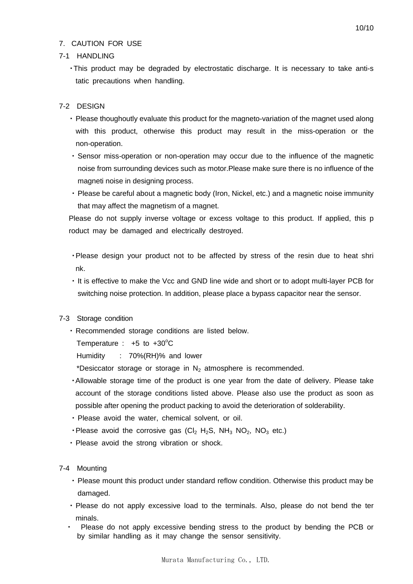### 7. CAUTION FOR USE

#### 7-1 HANDLING

・This product may be degraded by electrostatic discharge. It is necessary to take anti-s tatic precautions when handling.

### 7-2 DESIGN

- ・ Please thoughoutly evaluate this product for the magneto-variation of the magnet used along with this product, otherwise this product may result in the miss-operation or the non-operation.
- ・ Sensor miss-operation or non-operation may occur due to the influence of the magnetic noise from surrounding devices such as motor.Please make sure there is no influence of the magneti noise in designing process.
- ・ Please be careful about a magnetic body (Iron, Nickel, etc.) and a magnetic noise immunity that may affect the magnetism of a magnet.

Please do not supply inverse voltage or excess voltage to this product. If applied, this p roduct may be damaged and electrically destroyed.

- ・Please design your product not to be affected by stress of the resin due to heat shri nk.
- ・ It is effective to make the Vcc and GND line wide and short or to adopt multi-layer PCB for switching noise protection. In addition, please place a bypass capacitor near the sensor.

### 7-3 Storage condition

・ Recommended storage conditions are listed below.

Temperature :  $+5$  to  $+30^{\circ}$ C

Humidity : 70%(RH)% and lower

\*Desiccator storage or storage in  $N_2$  atmosphere is recommended.

- ・Allowable storage time of the product is one year from the date of delivery. Please take account of the storage conditions listed above. Please also use the product as soon as possible after opening the product packing to avoid the deterioration of solderability.
- ・ Please avoid the water, chemical solvent, or oil.
- Please avoid the corrosive gas  $(Cl_2 H_2S, NH_3 NO_2, NO_3 etc.)$
- ・ Please avoid the strong vibration or shock.
- 7-4 Mounting
	- ・ Please mount this product under standard reflow condition. Otherwise this product may be damaged.
	- ・ Please do not apply excessive load to the terminals. Also, please do not bend the ter minals.
	- Please do not apply excessive bending stress to the product by bending the PCB or by similar handling as it may change the sensor sensitivity.